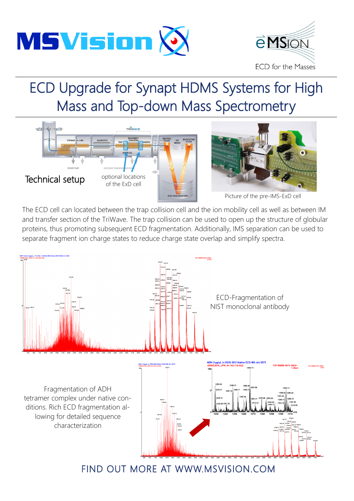



# ECD Upgrade for Synapt HDMS Systems for High Mass and Top-down Mass Spectrometry





Picture of the pre-IMS-ExD cell

The ECD cell can located between the trap collision cell and the ion mobility cell as well as between IM and transfer section of the TriWave. The trap collision can be used to open up the structure of globular proteins, thus promoting subsequent ECD fragmentation. Additionally, IMS separation can be used to separate fragment ion charge states to reduce charge state overlap and simplify spectra.



## FIND OUT MORE AT WWW.MSVISION.COM